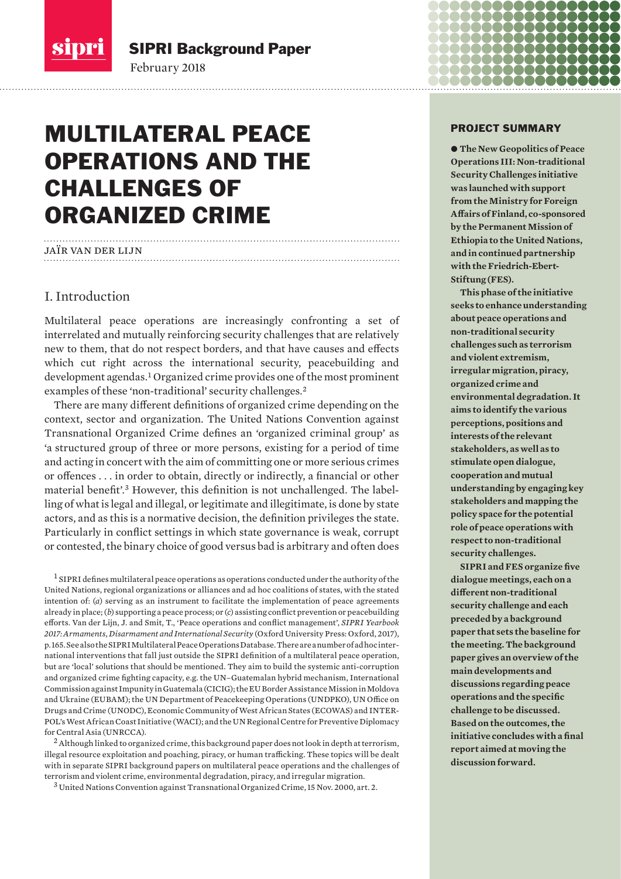

SIPRI Background Paper

# MULTILATERAL PEACE OPERATIONS AND THE CHALLENGES OF ORGANIZED CRIME

February 2018

# jaÏr van der lijn

## I. Introduction

Multilateral peace operations are increasingly confronting a set of interrelated and mutually reinforcing security challenges that are relatively new to them, that do not respect borders, and that have causes and effects which cut right across the international security, peacebuilding and development agendas.<sup>1</sup> Organized crime provides one of the most prominent examples of these 'non-traditional' security challenges.<sup>2</sup>

There are many different definitions of organized crime depending on the context, sector and organization. The United Nations Convention against Transnational Organized Crime defines an 'organized criminal group' as 'a structured group of three or more persons, existing for a period of time and acting in concert with the aim of committing one or more serious crimes or offences . . . in order to obtain, directly or indirectly, a financial or other material benefit'.3 However, this definition is not unchallenged. The labelling of what is legal and illegal, or legitimate and illegitimate, is done by state actors, and as this is a normative decision, the definition privileges the state. Particularly in conflict settings in which state governance is weak, corrupt or contested, the binary choice of good versus bad is arbitrary and often does

<sup>1</sup> SIPRI defines multilateral peace operations as operations conducted under the authority of the United Nations, regional organizations or alliances and ad hoc coalitions of states, with the stated intention of: (*a*) serving as an instrument to facilitate the implementation of peace agreements already in place; (*b*) supporting a peace process; or (*c*) assisting conflict prevention or peacebuilding efforts. Van der Lijn, J. and Smit, T., 'Peace operations and conflict management', *SIPRI Yearbook 2017: Armaments, Disarmament and International Security* (Oxford University Press: Oxford, 2017), p. 165. See also the [SIPRI Multilateral Peace Operations Database.](http://www.sipri.org/databases/pko/) There are a number of ad hoc international interventions that fall just outside the SIPRI definition of a multilateral peace operation, but are 'local' solutions that should be mentioned. They aim to build the systemic anti-corruption and organized crime fighting capacity, e.g. the UN–Guatemalan hybrid mechanism, International Commission against Impunity in Guatemala (CICIG); the EU Border Assistance Mission in Moldova and Ukraine (EUBAM); the UN Department of Peacekeeping Operations (UNDPKO), UN Office on Drugs and Crime (UNODC), Economic Community of West African States (ECOWAS) and INTER-POL's West African Coast Initiative (WACI); and the UN Regional Centre for Preventive Diplomacy for Central Asia (UNRCCA).

 $^2$  Although linked to organized crime, this background paper does not look in depth at terrorism, illegal resource exploitation and poaching, piracy, or human trafficking. These topics will be dealt with in separate SIPRI background papers on multilateral peace operations and the challenges of terrorism and violent crime, environmental degradation, piracy, and irregular migration.

<sup>3</sup> United Nations Convention against Transnational Organized Crime, 15 Nov. 2000, art. 2.

#### PROJECT SUMMARY

**. . . . . . .** 

80000000

na an an an an e e e e u

 $\bullet$  **The New Geopolitics of Peace Operations III: Non‑traditional Security Challenges initiative was launched with support from the Ministry for Foreign Affairs of Finland, co-sponsored by the Permanent Mission of Ethiopia to the United Nations, and in continued partnership with the Friedrich-Ebert-Stiftung (FES).**

**This phase of the initiative seeks to enhance understanding about peace operations and non-traditional security challenges such as terrorism and violent extremism, irregular migration, piracy, organized crime and environmental degradation. It aims to identify the various perceptions, positions and interests of the relevant stakeholders, as well as to stimulate open dialogue, cooperation and mutual understanding by engaging key stakeholders and mapping the policy space for the potential role of peace operations with respect to non-traditional security challenges.** 

**SIPRI and FES organize five dialogue meetings, each on a different non-traditional security challenge and each preceded by a background paper that sets the baseline for the meeting. The background paper gives an overview of the main developments and discussions regarding peace operations and the specific challenge to be discussed. Based on the outcomes, the initiative concludes with a final report aimed at moving the discussion forward.**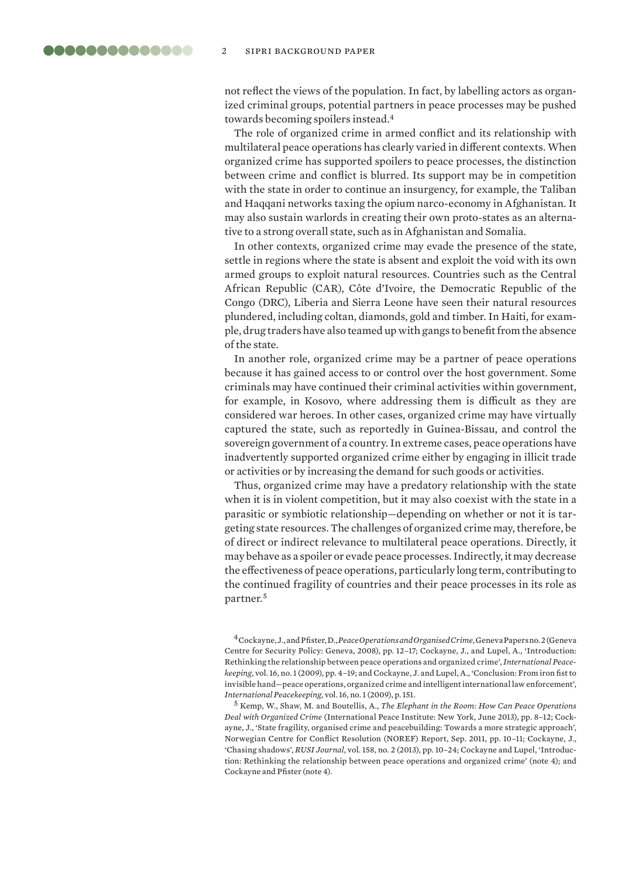not reflect the views of the population. In fact, by labelling actors as organized criminal groups, potential partners in peace processes may be pushed towards becoming spoilers instead.<sup>4</sup>

The role of organized crime in armed conflict and its relationship with multilateral peace operations has clearly varied in different contexts. When organized crime has supported spoilers to peace processes, the distinction between crime and conflict is blurred. Its support may be in competition with the state in order to continue an insurgency, for example, the Taliban and Haqqani networks taxing the opium narco-economy in Afghanistan. It may also sustain warlords in creating their own proto-states as an alternative to a strong overall state, such as in Afghanistan and Somalia.

In other contexts, organized crime may evade the presence of the state, settle in regions where the state is absent and exploit the void with its own armed groups to exploit natural resources. Countries such as the Central African Republic (CAR), Côte d'Ivoire, the Democratic Republic of the Congo (DRC), Liberia and Sierra Leone have seen their natural resources plundered, including coltan, diamonds, gold and timber. In Haiti, for example, drug traders have also teamed up with gangs to benefit from the absence of the state.

In another role, organized crime may be a partner of peace operations because it has gained access to or control over the host government. Some criminals may have continued their criminal activities within government, for example, in Kosovo, where addressing them is difficult as they are considered war heroes. In other cases, organized crime may have virtually captured the state, such as reportedly in Guinea-Bissau, and control the sovereign government of a country. In extreme cases, peace operations have inadvertently supported organized crime either by engaging in illicit trade or activities or by increasing the demand for such goods or activities.

Thus, organized crime may have a predatory relationship with the state when it is in violent competition, but it may also coexist with the state in a parasitic or symbiotic relationship—depending on whether or not it is targeting state resources. The challenges of organized crime may, therefore, be of direct or indirect relevance to multilateral peace operations. Directly, it may behave as a spoiler or evade peace processes. Indirectly, it may decrease the effectiveness of peace operations, particularly long term, contributing to the continued fragility of countries and their peace processes in its role as partner.<sup>5</sup>

<sup>4</sup> Cockayne, J., and Pfister, D., *Peace Operations and Organised Crime*, Geneva Papers no. 2 (Geneva Centre for Security Policy: Geneva, 2008), pp. 12–17; Cockayne, J., and Lupel, A., 'Introduction: Rethinking the relationship between peace operations and organized crime', *International Peacekeeping*, vol. 16, no. 1 (2009), pp. 4–19; and Cockayne, J. and Lupel, A., 'Conclusion: From iron fist to invisible hand—peace operations, organized crime and intelligent international law enforcement', *International Peacekeeping*, vol. 16, no. 1 (2009), p. 151.

<sup>5</sup> Kemp, W., Shaw, M. and Boutellis, A., *The Elephant in the Room: How Can Peace Operations Deal with Organized Crime* (International Peace Institute: New York, June 2013), pp. 8–12; Cockayne, J., '[State fragility, organised crime and peacebuilding: Towards a more strategic approach](https://noref.no/Publications/Themes/Global-trends/State-fragility-organised-crime-and-peacebuilding-towards-a-more-strategic-approach)', Norwegian Centre for Conflict Resolution (NOREF) Report, Sep. 2011, pp. 10–11; Cockayne, J., 'Chasing shadows', *RUSI Journal*, vol. 158, no. 2 (2013), pp. 10–24; Cockayne and Lupel, 'Introduction: Rethinking the relationship between peace operations and organized crime' (note 4); and Cockayne and Pfister (note 4).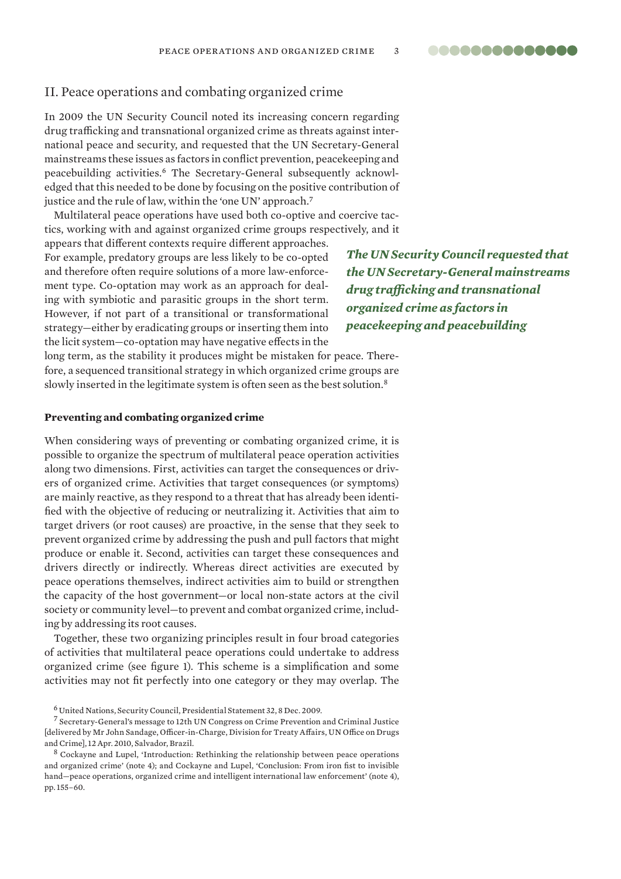### <span id="page-2-0"></span>II. Peace operations and combating organized crime

In 2009 the UN Security Council noted its increasing concern regarding drug trafficking and transnational organized crime as threats against international peace and security, and requested that the UN Secretary-General mainstreams these issues as factors in conflict prevention, peacekeeping and peacebuilding activities.6 The Secretary-General subsequently acknowledged that this needed to be done by focusing on the positive contribution of justice and the rule of law, within the 'one UN' approach.<sup>7</sup>

Multilateral peace operations have used both co-optive and coercive tactics, working with and against organized crime groups respectively, and it

appears that different contexts require different approaches. For example, predatory groups are less likely to be co-opted and therefore often require solutions of a more law-enforcement type. Co-optation may work as an approach for dealing with symbiotic and parasitic groups in the short term. However, if not part of a transitional or transformational strategy—either by eradicating groups or inserting them into the licit system—co-optation may have negative effects in the

*The UN Security Council requested that the UN Secretary-General mainstreams drug trafficking and transnational organized crime as factors in peacekeeping and peacebuilding*

**00000000000000** 

long term, as the stability it produces might be mistaken for peace. Therefore, a sequenced transitional strategy in which organized crime groups are slowly inserted in the legitimate system is often seen as the best solution.<sup>8</sup>

#### **Preventing and combating organized crime**

When considering ways of preventing or combating organized crime, it is possible to organize the spectrum of multilateral peace operation activities along two dimensions. First, activities can target the consequences or drivers of organized crime. Activities that target consequences (or symptoms) are mainly reactive, as they respond to a threat that has already been identified with the objective of reducing or neutralizing it. Activities that aim to target drivers (or root causes) are proactive, in the sense that they seek to prevent organized crime by addressing the push and pull factors that might produce or enable it. Second, activities can target these consequences and drivers directly or indirectly. Whereas direct activities are executed by peace operations themselves, indirect activities aim to build or strengthen the capacity of the host government—or local non-state actors at the civil society or community level—to prevent and combat organized crime, including by addressing its root causes.

Together, these two organizing principles result in four broad categories of activities that multilateral peace operations could undertake to address organized crime (see figure 1). This scheme is a simplification and some activities may not fit perfectly into one category or they may overlap. The

<sup>6</sup> United Nations, Security Council, Presidential Statement 32, 8 Dec. 2009.

<sup>7</sup> [Secretary-General's message to 12th UN Congress on Crime Prevention and Criminal Justice](https://www.un.org/sg/en/content/sg/statement/2010-04-12/secretary-generals-message-12th-un-congress-crime-prevention-and)  [delivered by Mr John Sandage, Officer-in-Charge, Division for Treaty Affairs, UN Office on Drugs and Crime], 12 Apr. 2010, Salvador, Brazil.

<sup>8</sup> Cockayne and Lupel, 'Introduction: Rethinking the relationship between peace operations and organized crime' (note 4); and Cockayne and Lupel, 'Conclusion: From iron fist to invisible hand—peace operations, organized crime and intelligent international law enforcement' (note 4), pp. 155–60.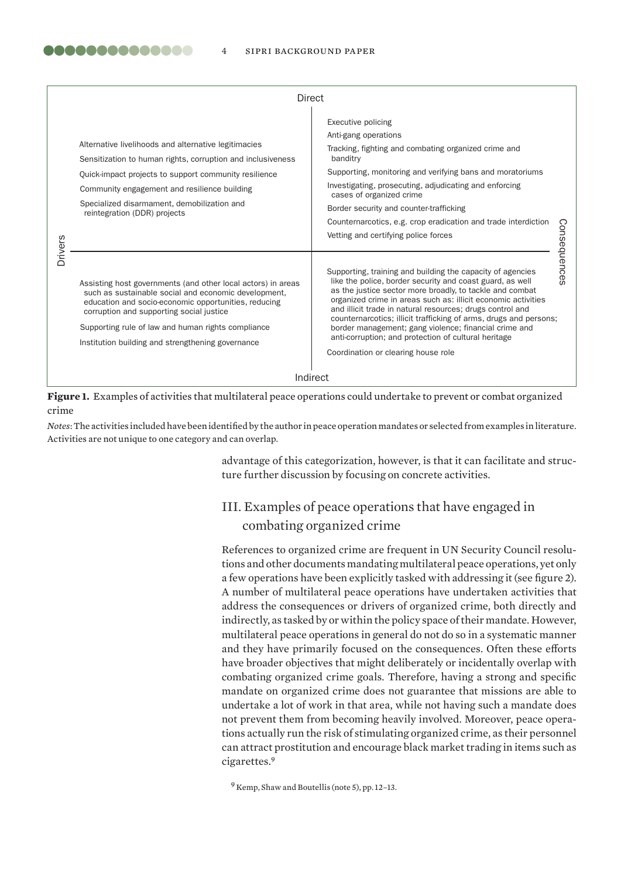|                | <b>Direct</b>                                                                                                                                                                                                                                                                                                                       |                                                                                                                                                                                                                                                                                                                                                                                                                                                                                                                                                |              |
|----------------|-------------------------------------------------------------------------------------------------------------------------------------------------------------------------------------------------------------------------------------------------------------------------------------------------------------------------------------|------------------------------------------------------------------------------------------------------------------------------------------------------------------------------------------------------------------------------------------------------------------------------------------------------------------------------------------------------------------------------------------------------------------------------------------------------------------------------------------------------------------------------------------------|--------------|
| <b>Drivers</b> | Alternative livelihoods and alternative legitimacies<br>Sensitization to human rights, corruption and inclusiveness<br>Quick-impact projects to support community resilience<br>Community engagement and resilience building<br>Specialized disarmament, demobilization and<br>reintegration (DDR) projects                         | Executive policing<br>Anti-gang operations<br>Tracking, fighting and combating organized crime and<br>banditry<br>Supporting, monitoring and verifying bans and moratoriums<br>Investigating, prosecuting, adjudicating and enforcing<br>cases of organized crime<br>Border security and counter-trafficking<br>Counternarcotics, e.g. crop eradication and trade interdiction<br>Vetting and certifying police forces                                                                                                                         |              |
|                | Assisting host governments (and other local actors) in areas<br>such as sustainable social and economic development,<br>education and socio-economic opportunities, reducing<br>corruption and supporting social justice<br>Supporting rule of law and human rights compliance<br>Institution building and strengthening governance | Supporting, training and building the capacity of agencies<br>like the police, border security and coast guard, as well<br>as the justice sector more broadly, to tackle and combat<br>organized crime in areas such as: illicit economic activities<br>and illicit trade in natural resources; drugs control and<br>counternarcotics; illicit trafficking of arms, drugs and persons;<br>border management; gang violence; financial crime and<br>anti-corruption; and protection of cultural heritage<br>Coordination or clearing house role | Consequences |
|                |                                                                                                                                                                                                                                                                                                                                     | Indirect                                                                                                                                                                                                                                                                                                                                                                                                                                                                                                                                       |              |

**Figure 1.** Examples of activities that multilateral peace operations could undertake to prevent or combat organized crime

*Notes*: The activities included have been identified by the author in peace operation mandates or selected from examples in literature. Activities are not unique to one category and can overlap.

> advantage of this categorization, however, is that it can facilitate and structure further discussion by focusing on concrete activities.

# III. Examples of peace operations that have engaged in combating organized crime

References to organized crime are frequent in UN Security Council resolutions and other documents mandating multilateral peace operations, yet only a few operations have been explicitly tasked with addressing it (see figure 2). A number of multilateral peace operations have undertaken activities that address the consequences or drivers of organized crime, both directly and indirectly, as tasked by or within the policy space of their mandate. However, multilateral peace operations in general do not do so in a systematic manner and they have primarily focused on the consequences. Often these efforts have broader objectives that might deliberately or incidentally overlap with combating organized crime goals. Therefore, having a strong and specific mandate on organized crime does not guarantee that missions are able to undertake a lot of work in that area, while not having such a mandate does not prevent them from becoming heavily involved. Moreover, peace operations actually run the risk of stimulating organized crime, as their personnel can attract prostitution and encourage black market trading in items such as cigarettes.<sup>9</sup>

<sup>9</sup> Kemp, Shaw and Boutellis (note 5), pp. 12–13.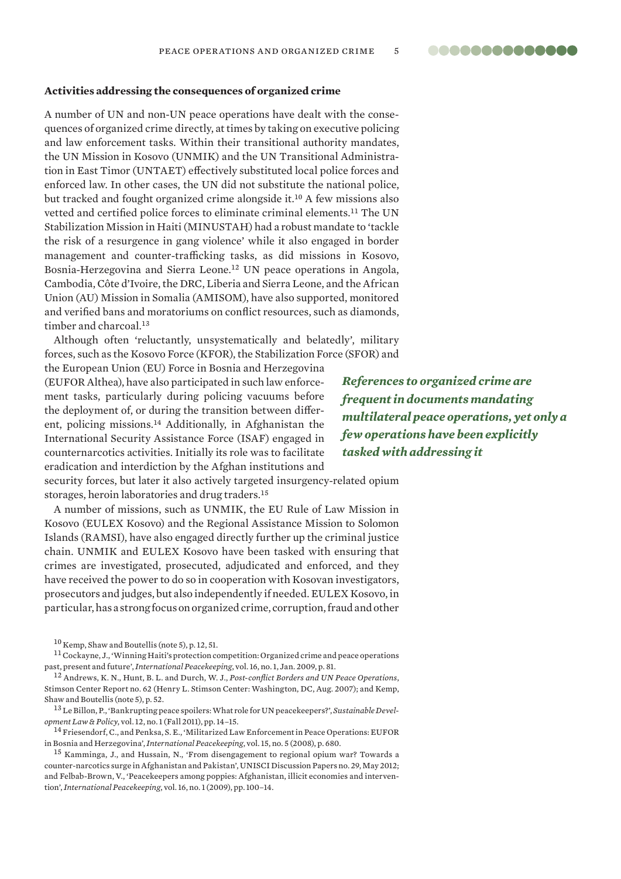#### **00000000000000**

#### **Activities addressing the consequences of organized crime**

A number of UN and non-UN peace operations have dealt with the consequences of organized crime directly, at times by taking on executive policing and law enforcement tasks. Within their transitional authority mandates, the UN Mission in Kosovo (UNMIK) and the UN Transitional Administration in East Timor (UNTAET) effectively substituted local police forces and enforced law. In other cases, the UN did not substitute the national police, but tracked and fought organized crime alongside it.<sup>10</sup> A few missions also vetted and certified police forces to eliminate criminal elements.<sup>11</sup> The UN Stabilization Mission in Haiti (MINUSTAH) had a robust mandate to 'tackle the risk of a resurgence in gang violence' while it also engaged in border management and counter-trafficking tasks, as did missions in Kosovo, Bosnia-Herzegovina and Sierra Leone.<sup>12</sup> UN peace operations in Angola, Cambodia, Côte d'Ivoire, the DRC, Liberia and Sierra Leone, and the African Union (AU) Mission in Somalia (AMISOM), have also supported, monitored and verified bans and moratoriums on conflict resources, such as diamonds, timber and charcoal.<sup>13</sup>

Although often 'reluctantly, unsystematically and belatedly', military forces, such as the Kosovo Force (KFOR), the Stabilization Force (SFOR) and

the European Union (EU) Force in Bosnia and Herzegovina (EUFOR Althea), have also participated in such law enforcement tasks, particularly during policing vacuums before the deployment of, or during the transition between different, policing missions.<sup>14</sup> Additionally, in Afghanistan the International Security Assistance Force (ISAF) engaged in counternarcotics activities. Initially its role was to facilitate eradication and interdiction by the Afghan institutions and

*References to organized crime are frequent in documents mandating multilateral peace operations, yet only a few operations have been explicitly tasked with addressing it*

security forces, but later it also actively targeted insurgency-related opium storages, heroin laboratories and drug traders.<sup>15</sup>

A number of missions, such as UNMIK, the EU Rule of Law Mission in Kosovo (EULEX Kosovo) and the Regional Assistance Mission to Solomon Islands (RAMSI), have also engaged directly further up the criminal justice chain. UNMIK and EULEX Kosovo have been tasked with ensuring that crimes are investigated, prosecuted, adjudicated and enforced, and they have received the power to do so in cooperation with Kosovan investigators, prosecutors and judges, but also independently if needed. EULEX Kosovo, in particular, has a strong focus on organized crime, corruption, fraud and other

<sup>11</sup> Cockayne, J., 'Winning Haiti's protection competition: Organized crime and peace operations past, present and future', *International Peacekeeping*, vol. 16, no. 1, Jan. 2009, p. 81.

<sup>12</sup> Andrews, K. N., Hunt, B. L. and Durch, W. J., *Post-conflict Borders and UN Peace Operations*, Stimson Center Report no. 62 (Henry L. Stimson Center: Washington, DC, Aug. 2007); and Kemp, Shaw and Boutellis (note 5), p. 52.

<sup>13</sup> Le Billon, P., 'Bankrupting peace spoilers: What role for UN peacekeepers?', *Sustainable Development Law & Policy*, vol. 12, no. 1 (Fall 2011), pp. 14–15.

<sup>14</sup> Friesendorf, C., and Penksa, S. E., 'Militarized Law Enforcement in Peace Operations: EUFOR in Bosnia and Herzegovina', *International Peacekeeping*, vol. 15, no. 5 (2008), p. 680.

<sup>15</sup> Kamminga, J., and Hussain, N., '[From disengagement to regional opium war? Towards a](http://revistas.ucm.es/index.php/UNIS/article/viewFile/40662/38984)  [counter-narcotics surge in Afghanistan and Pakistan](http://revistas.ucm.es/index.php/UNIS/article/viewFile/40662/38984)', UNISCI Discussion Papers no. 29, May 2012; and Felbab-Brown, V., 'Peacekeepers among poppies: Afghanistan, illicit economies and intervention', *International Peacekeeping*, vol. 16, no. 1 (2009), pp. 100–14.

<sup>10</sup> Kemp, Shaw and Boutellis (note 5), p. 12, 51.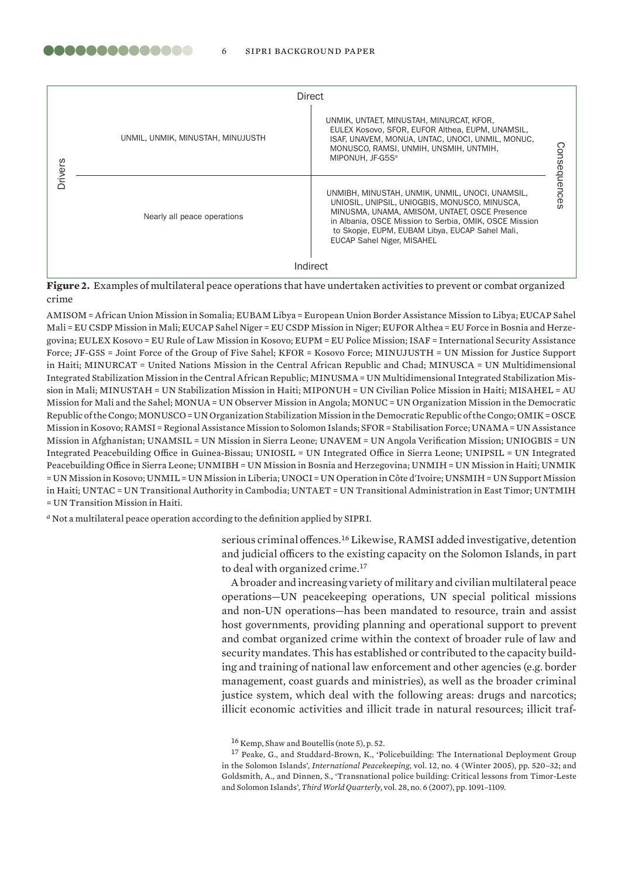|                | Direct                            |                                                                                                                                                                                                                                                                                                     |             |
|----------------|-----------------------------------|-----------------------------------------------------------------------------------------------------------------------------------------------------------------------------------------------------------------------------------------------------------------------------------------------------|-------------|
| <b>Drivers</b> | UNMIL, UNMIK, MINUSTAH, MINUJUSTH | UNMIK, UNTAET, MINUSTAH, MINURCAT, KFOR,<br>EULEX Kosovo, SFOR, EUFOR Althea, EUPM, UNAMSIL,<br>ISAF, UNAVEM, MONUA, UNTAC, UNOCI, UNMIL, MONUC.<br>MONUSCO, RAMSI, UNMIH, UNSMIH, UNTMIH,<br>MIPONUH. JF-G5S <sup>a</sup>                                                                          | C)          |
|                | Nearly all peace operations       | UNMIBH, MINUSTAH, UNMIK, UNMIL, UNOCI, UNAMSIL,<br>UNIOSIL, UNIPSIL, UNIOGBIS, MONUSCO, MINUSCA,<br>MINUSMA, UNAMA, AMISOM, UNTAET, OSCE Presence<br>in Albania, OSCE Mission to Serbia, OMIK, OSCE Mission<br>to Skopje, EUPM, EUBAM Libya, EUCAP Sahel Mali,<br><b>EUCAP Sahel Niger, MISAHEL</b> | onsequences |
|                |                                   | Indirect                                                                                                                                                                                                                                                                                            |             |

**Figure 2.** Examples of multilateral peace operations that have undertaken activities to prevent or combat organized crime

AMISOM = African Union Mission in Somalia; EUBAM Libya = European Union Border Assistance Mission to Libya; EUCAP Sahel Mali = EU CSDP Mission in Mali; EUCAP Sahel Niger = EU CSDP Mission in Niger; EUFOR Althea = EU Force in Bosnia and Herzegovina; EULEX Kosovo = EU Rule of Law Mission in Kosovo; EUPM = EU Police Mission; ISAF = International Security Assistance Force; JF-G5S = Joint Force of the Group of Five Sahel; KFOR = Kosovo Force; MINUJUSTH = UN Mission for Justice Support in Haiti; MINURCAT = United Nations Mission in the Central African Republic and Chad; MINUSCA = UN Multidimensional Integrated Stabilization Mission in the Central African Republic; MINUSMA = UN Multidimensional Integrated Stabilization Mission in Mali; MINUSTAH = UN Stabilization Mission in Haiti; MIPONUH = UN Civilian Police Mission in Haiti; MISAHEL = AU Mission for Mali and the Sahel; MONUA = UN Observer Mission in Angola; MONUC = UN Organization Mission in the Democratic Republic of the Congo; MONUSCO = UN Organization Stabilization Mission in the Democratic Republic of the Congo; OMIK = OSCE Mission in Kosovo; RAMSI = Regional Assistance Mission to Solomon Islands; SFOR = Stabilisation Force; UNAMA = UN Assistance Mission in Afghanistan; UNAMSIL = UN Mission in Sierra Leone; UNAVEM = UN Angola Verification Mission; UNIOGBIS = UN Integrated Peacebuilding Office in Guinea-Bissau; UNIOSIL = UN Integrated Office in Sierra Leone; UNIPSIL = UN Integrated Peacebuilding Office in Sierra Leone; UNMIBH = UN Mission in Bosnia and Herzegovina; UNMIH = UN Mission in Haiti; UNMIK = UN Mission in Kosovo; UNMIL = UN Mission in Liberia; UNOCI = UN Operation in Côte d'Ivoire; UNSMIH = UN Support Mission in Haiti; UNTAC = UN Transitional Authority in Cambodia; UNTAET = UN Transitional Administration in East Timor; UNTMIH = UN Transition Mission in Haiti.

*<sup>a</sup>* Not a multilateral peace operation according to the definition applied by SIPRI.

serious criminal offences.<sup>16</sup> Likewise, RAMSI added investigative, detention and judicial officers to the existing capacity on the Solomon Islands, in part to deal with organized crime.<sup>17</sup>

A broader and increasing variety of military and civilian multilateral peace operations—UN peacekeeping operations, UN special political missions and non-UN operations—has been mandated to resource, train and assist host governments, providing planning and operational support to prevent and combat organized crime within the context of broader rule of law and security mandates. This has established or contributed to the capacity building and training of national law enforcement and other agencies (e.g. border management, coast guards and ministries), as well as the broader criminal justice system, which deal with the following areas: drugs and narcotics; illicit economic activities and illicit trade in natural resources; illicit traf-

<sup>16</sup> Kemp, Shaw and Boutellis (note 5), p. 52.

<sup>17</sup> Peake, G., and Studdard-Brown, K., 'Policebuilding: The International Deployment Group in the Solomon Islands', *International Peacekeeping*, vol. 12, no. 4 (Winter 2005), pp. 520–32; and Goldsmith, A., and Dinnen, S., 'Transnational police building: Critical lessons from Timor-Leste and Solomon Islands', *Third World Quarterly*, vol. 28, no. 6 (2007), pp. 1091–1109.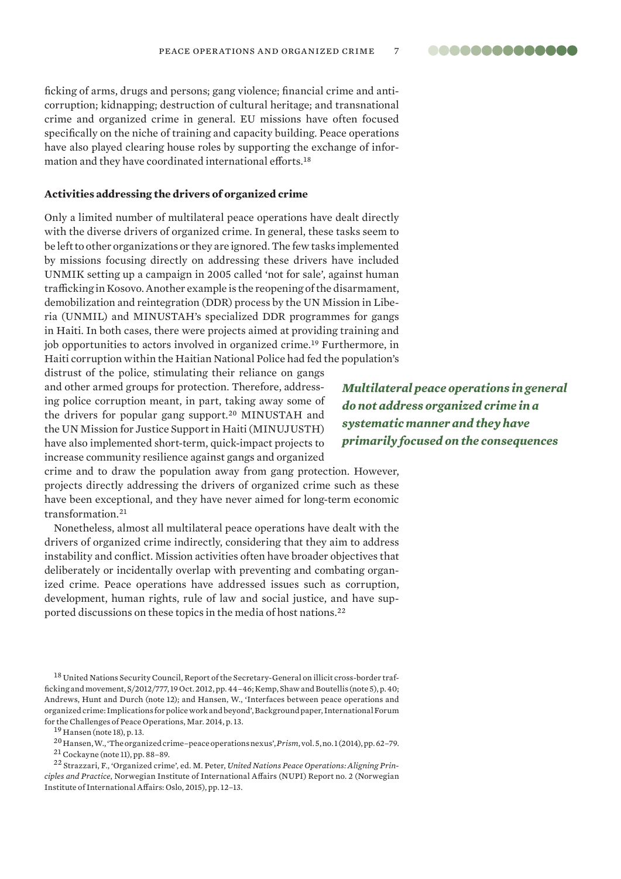ficking of arms, drugs and persons; gang violence; financial crime and anticorruption; kidnapping; destruction of cultural heritage; and transnational crime and organized crime in general. EU missions have often focused specifically on the niche of training and capacity building. Peace operations have also played clearing house roles by supporting the exchange of information and they have coordinated international efforts.<sup>18</sup>

#### **Activities addressing the drivers of organized crime**

Only a limited number of multilateral peace operations have dealt directly with the diverse drivers of organized crime. In general, these tasks seem to be left to other organizations or they are ignored. The few tasks implemented by missions focusing directly on addressing these drivers have included UNMIK setting up a campaign in 2005 called 'not for sale', against human trafficking in Kosovo. Another example is the reopening of the disarmament, demobilization and reintegration (DDR) process by the UN Mission in Liberia (UNMIL) and MINUSTAH's specialized DDR programmes for gangs in Haiti. In both cases, there were projects aimed at providing training and job opportunities to actors involved in organized crime.<sup>19</sup> Furthermore, in Haiti corruption within the Haitian National Police had fed the population's

distrust of the police, stimulating their reliance on gangs and other armed groups for protection. Therefore, addressing police corruption meant, in part, taking away some of the drivers for popular gang support.<sup>20</sup> MINUSTAH and the UN Mission for Justice Support in Haiti (MINUJUSTH) have also implemented short-term, quick-impact projects to increase community resilience against gangs and organized

*Multilateral peace operations in general do not address organized crime in a systematic manner and they have primarily focused on the consequences*

..............

crime and to draw the population away from gang protection. However, projects directly addressing the drivers of organized crime such as these have been exceptional, and they have never aimed for long-term economic transformation<sup>21</sup>

Nonetheless, almost all multilateral peace operations have dealt with the drivers of organized crime indirectly, considering that they aim to address instability and conflict. Mission activities often have broader objectives that deliberately or incidentally overlap with preventing and combating organized crime. Peace operations have addressed issues such as corruption, development, human rights, rule of law and social justice, and have supported discussions on these topics in the media of host nations.<sup>22</sup>

<sup>18</sup> United Nations Security Council, Report of the Secretary-General on illicit cross-border trafficking and movement, S/2012/777, 19 Oct. 2012, pp. 44–46; Kemp, Shaw and Boutellis (note 5), p. 40; Andrews, Hunt and Durch (note 12); and Hansen, W., '[Interfaces between peace operations and](http://www.challengesforum.org/Global/Forum%20Documents/2014_SGF_Oslo/Backgroundpaper_Oslo_Dr_Hansen.pdf)  [organized crime: Implications for police work and beyond](http://www.challengesforum.org/Global/Forum%20Documents/2014_SGF_Oslo/Backgroundpaper_Oslo_Dr_Hansen.pdf)', Background paper, International Forum for the Challenges of Peace Operations, Mar. 2014, p. 13.

<sup>19</sup> Hansen (note 18), p. 13.

<sup>20</sup> Hansen, W., 'The organized crime–peace operations nexus', *Prism*, vol. 5, no. 1 (2014), pp. 62–79.

<sup>22</sup> Strazzari, F., 'Organized crime', ed. M. Peter, *United Nations Peace Operations: Aligning Principles and Practice*, Norwegian Institute of International Affairs (NUPI) Report no. 2 (Norwegian Institute of International Affairs: Oslo, 2015), pp. 12–13.

<sup>21</sup> Cockayne (note 11), pp. 88–89.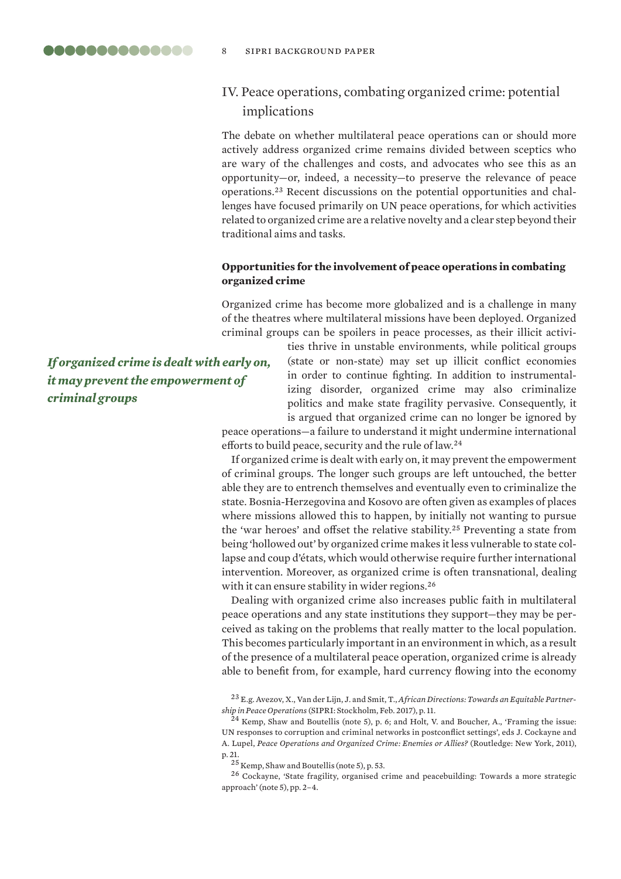# IV. Peace operations, combating organized crime: potential implications

The debate on whether multilateral peace operations can or should more actively address organized crime remains divided between sceptics who are wary of the challenges and costs, and advocates who see this as an opportunity—or, indeed, a necessity—to preserve the relevance of peace operations.23 Recent discussions on the potential opportunities and challenges have focused primarily on UN peace operations, for which activities related to organized crime are a relative novelty and a clear step beyond their traditional aims and tasks.

#### **Opportunities for the involvement of peace operations in combating organized crime**

Organized crime has become more globalized and is a challenge in many of the theatres where multilateral missions have been deployed. Organized criminal groups can be spoilers in peace processes, as their illicit activi-

*If organized crime is dealt with early on, it may prevent the empowerment of criminal groups*

ties thrive in unstable environments, while political groups (state or non-state) may set up illicit conflict economies in order to continue fighting. In addition to instrumentalizing disorder, organized crime may also criminalize politics and make state fragility pervasive. Consequently, it is argued that organized crime can no longer be ignored by

peace operations—a failure to understand it might undermine international efforts to build peace, security and the rule of law.<sup>24</sup>

If organized crime is dealt with early on, it may prevent the empowerment of criminal groups. The longer such groups are left untouched, the better able they are to entrench themselves and eventually even to criminalize the state. Bosnia-Herzegovina and Kosovo are often given as examples of places where missions allowed this to happen, by initially not wanting to pursue the 'war heroes' and offset the relative stability.<sup>25</sup> Preventing a state from being 'hollowed out' by organized crime makes it less vulnerable to state collapse and coup d'états, which would otherwise require further international intervention. Moreover, as organized crime is often transnational, dealing with it can ensure stability in wider regions.<sup>26</sup>

Dealing with organized crime also increases public faith in multilateral peace operations and any state institutions they support—they may be perceived as taking on the problems that really matter to the local population. This becomes particularly important in an environment in which, as a result of the presence of a multilateral peace operation, organized crime is already able to benefit from, for example, hard currency flowing into the economy

<sup>23</sup> E.g. Avezov, X., Van der Lijn, J. and Smit, T., *[African Directions: Towards an Equitable Partner](https://www.sipri.org/sites/default/files/African-directions.pdf)[ship in Peace Operations](https://www.sipri.org/sites/default/files/African-directions.pdf)* (SIPRI: Stockholm, Feb. 2017), p. 11.

<sup>24</sup> Kemp, Shaw and Boutellis (note 5), p. 6; and Holt, V. and Boucher, A., 'Framing the issue: UN responses to corruption and criminal networks in postconflict settings', eds J. Cockayne and A. Lupel, *Peace Operations and Organized Crime: Enemies or Allies?* (Routledge: New York, 2011), p. 21.

<sup>&</sup>lt;sup>25</sup> Kemp, Shaw and Boutellis (note 5), p. 53.

<sup>26</sup> Cockayne, 'State fragility, organised crime and peacebuilding: Towards a more strategic approach' (note 5), pp. 2–4.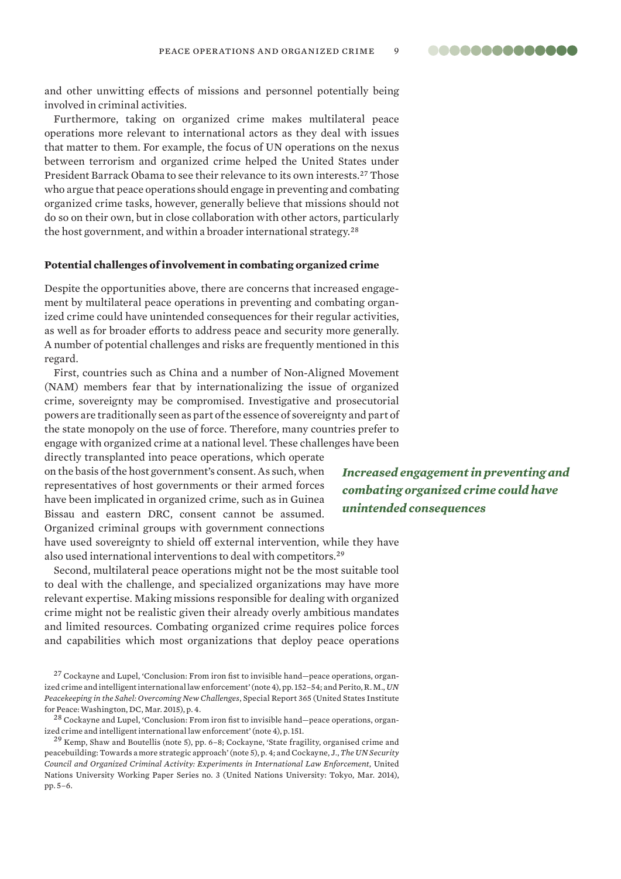**00000000000000** 

and other unwitting effects of missions and personnel potentially being involved in criminal activities.

Furthermore, taking on organized crime makes multilateral peace operations more relevant to international actors as they deal with issues that matter to them. For example, the focus of UN operations on the nexus between terrorism and organized crime helped the United States under President Barrack Obama to see their relevance to its own interests.<sup>27</sup> Those who argue that peace operations should engage in preventing and combating organized crime tasks, however, generally believe that missions should not do so on their own, but in close collaboration with other actors, particularly the host government, and within a broader international strategy.<sup>28</sup>

#### **Potential challenges of involvement in combating organized crime**

Despite the opportunities above, there are concerns that increased engagement by multilateral peace operations in preventing and combating organized crime could have unintended consequences for their regular activities, as well as for broader efforts to address peace and security more generally. A number of potential challenges and risks are frequently mentioned in this regard.

First, countries such as China and a number of Non-Aligned Movement (NAM) members fear that by internationalizing the issue of organized crime, sovereignty may be compromised. Investigative and prosecutorial powers are traditionally seen as part of the essence of sovereignty and part of the state monopoly on the use of force. Therefore, many countries prefer to engage with organized crime at a national level. These challenges have been

directly transplanted into peace operations, which operate on the basis of the host government's consent. As such, when representatives of host governments or their armed forces have been implicated in organized crime, such as in Guinea Bissau and eastern DRC, consent cannot be assumed. Organized criminal groups with government connections have used sovereignty to shield off external intervention, while they have also used international interventions to deal with competitors.<sup>29</sup>

Second, multilateral peace operations might not be the most suitable tool to deal with the challenge, and specialized organizations may have more relevant expertise. Making missions responsible for dealing with organized crime might not be realistic given their already overly ambitious mandates and limited resources. Combating organized crime requires police forces and capabilities which most organizations that deploy peace operations

 $^{28}$  Cockayne and Lupel, 'Conclusion: From iron fist to invisible hand—peace operations, organized crime and intelligent international law enforcement' (note 4), p. 151.

 $29$  Kemp, Shaw and Boutellis (note 5), pp. 6-8; Cockayne, 'State fragility, organised crime and peacebuilding: Towards a more strategic approach' (note 5), p. 4; and Cockayne, J., *The UN Security Council and Organized Criminal Activity: Experiments in International Law Enforcement*, United Nations University Working Paper Series no. 3 (United Nations University: Tokyo, Mar. 2014), pp. 5–6.

*Increased engagement in preventing and combating organized crime could have unintended consequences*

<sup>&</sup>lt;sup>27</sup> Cockayne and Lupel, 'Conclusion: From iron fist to invisible hand—peace operations, organized crime and intelligent international law enforcement' (note 4), pp. 152–54; and Perito, R. M., *UN Peacekeeping in the Sahel: Overcoming New Challenges*, Special Report 365 (United States Institute for Peace: Washington, DC, Mar. 2015), p. 4.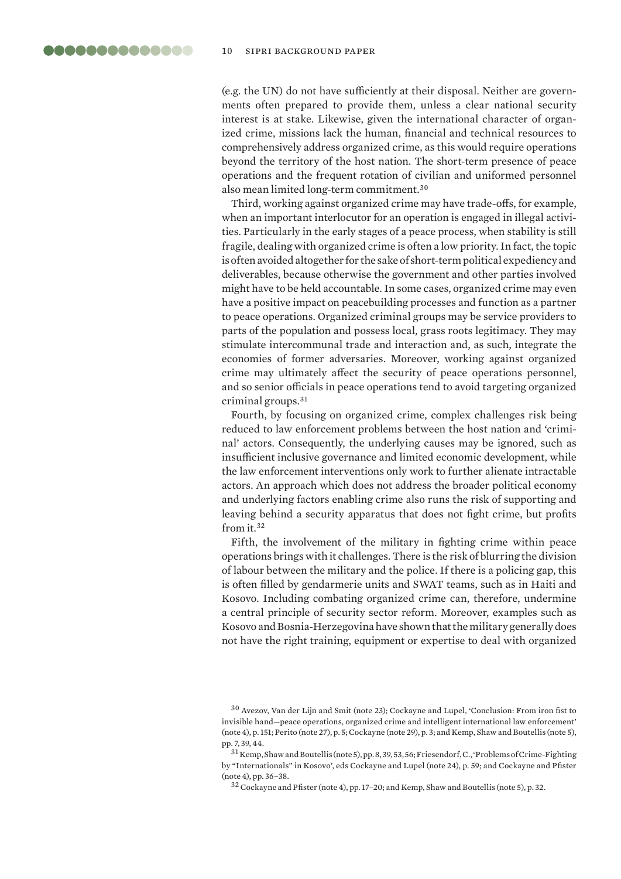<span id="page-9-0"></span>(e.g. the UN) do not have sufficiently at their disposal. Neither are governments often prepared to provide them, unless a clear national security interest is at stake. Likewise, given the international character of organized crime, missions lack the human, financial and technical resources to comprehensively address organized crime, as this would require operations beyond the territory of the host nation. The short-term presence of peace operations and the frequent rotation of civilian and uniformed personnel also mean limited long-term commitment.<sup>30</sup>

Third, working against organized crime may have trade-offs, for example, when an important interlocutor for an operation is engaged in illegal activities. Particularly in the early stages of a peace process, when stability is still fragile, dealing with organized crime is often a low priority. In fact, the topic is often avoided altogether for the sake of short-term political expediency and deliverables, because otherwise the government and other parties involved might have to be held accountable. In some cases, organized crime may even have a positive impact on peacebuilding processes and function as a partner to peace operations. Organized criminal groups may be service providers to parts of the population and possess local, grass roots legitimacy. They may stimulate intercommunal trade and interaction and, as such, integrate the economies of former adversaries. Moreover, working against organized crime may ultimately affect the security of peace operations personnel, and so senior officials in peace operations tend to avoid targeting organized criminal groups.<sup>31</sup>

Fourth, by focusing on organized crime, complex challenges risk being reduced to law enforcement problems between the host nation and 'criminal' actors. Consequently, the underlying causes may be ignored, such as insufficient inclusive governance and limited economic development, while the law enforcement interventions only work to further alienate intractable actors. An approach which does not address the broader political economy and underlying factors enabling crime also runs the risk of supporting and leaving behind a security apparatus that does not fight crime, but profits from it.<sup>32</sup>

Fifth, the involvement of the military in fighting crime within peace operations brings with it challenges. There is the risk of blurring the division of labour between the military and the police. If there is a policing gap, this is often filled by gendarmerie units and SWAT teams, such as in Haiti and Kosovo. Including combating organized crime can, therefore, undermine a central principle of security sector reform. Moreover, examples such as Kosovo and Bosnia-Herzegovina have shown that the military generally does not have the right training, equipment or expertise to deal with organized

<sup>30</sup> Avezov, Van der Lijn and Smit (note 23); Cockayne and Lupel, 'Conclusion: From iron fist to invisible hand—peace operations, organized crime and intelligent international law enforcement' (note 4), p. 151; Perito (note 27), p. 5; Cockayne (note 29), p. 3; and Kemp, Shaw and Boutellis (note 5), pp. 7, 39, 44.

 $^{31}\rm{Kemp, Shaw}$  and Boutellis (note 5), pp. 8, 39, 53, 56; Friesendorf, C., 'Problems of Crime-Fighting by "Internationals" in Kosovo', eds Cockayne and Lupel (note 24), p. 59; and Cockayne and Pfister (note 4), pp. 36–38.

<sup>32</sup> Cockayne and Pfister (note 4), pp. 17–20; and Kemp, Shaw and Boutellis (note 5), p. 32.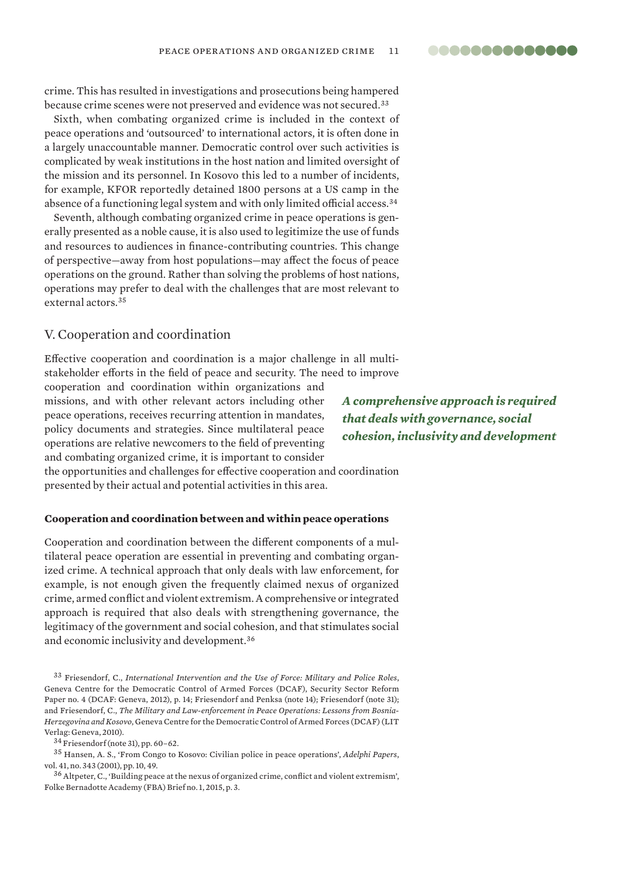..............

crime. This has resulted in investigations and prosecutions being hampered because crime scenes were not preserved and evidence was not secured.<sup>33</sup>

Sixth, when combating organized crime is included in the context of peace operations and 'outsourced' to international actors, it is often done in a largely unaccountable manner. Democratic control over such activities is complicated by weak institutions in the host nation and limited oversight of the mission and its personnel. In Kosovo this led to a number of incidents, for example, KFOR reportedly detained 1800 persons at a US camp in the absence of a functioning legal system and with only limited official access.<sup>34</sup>

Seventh, although combating organized crime in peace operations is generally presented as a noble cause, it is also used to legitimize the use of funds and resources to audiences in finance-contributing countries. This change of perspective—away from host populations—may affect the focus of peace operations on the ground. Rather than solving the problems of host nations, operations may prefer to deal with the challenges that are most relevant to external actors.<sup>35</sup>

#### V. Cooperation and coordination

Effective cooperation and coordination is a major challenge in all multistakeholder efforts in the field of peace and security. The need to improve

cooperation and coordination within organizations and missions, and with other relevant actors including other peace operations, receives recurring attention in mandates, policy documents and strategies. Since multilateral peace operations are relative newcomers to the field of preventing and combating organized crime, it is important to consider

*A comprehensive approach is required that deals with governance, social cohesion, inclusivity and development*

the opportunities and challenges for effective cooperation and coordination presented by their actual and potential activities in this area.

#### **Cooperation and coordination between and within peace operations**

Cooperation and coordination between the different components of a multilateral peace operation are essential in preventing and combating organized crime. A technical approach that only deals with law enforcement, for example, is not enough given the frequently claimed nexus of organized crime, armed conflict and violent extremism. A comprehensive or integrated approach is required that also deals with strengthening governance, the legitimacy of the government and social cohesion, and that stimulates social and economic inclusivity and development.<sup>36</sup>

<sup>33</sup> Friesendorf, C., *International Intervention and the Use of Force: Military and Police Roles*, Geneva Centre for the Democratic Control of Armed Forces (DCAF), Security Sector Reform Paper no. 4 (DCAF: Geneva, 2012), p. 14; Friesendorf and Penksa (note 14); Friesendorf (note 31); and Friesendorf, C., *The Military and Law-enforcement in Peace Operations: Lessons from Bosnia-Herzegovina and Kosovo*, Geneva Centre for the Democratic Control of Armed Forces (DCAF) (LIT Verlag: Geneva, 2010).

<sup>34</sup> Friesendorf (note 31), pp. 60–62.

<sup>35</sup> Hansen, A. S., 'From Congo to Kosovo: Civilian police in peace operations', *Adelphi Papers*, vol. 41, no. 343 (2001), pp. 10, 49.

<sup>36</sup> Altpeter, C., ['Building peace at the nexus of organized crime, conflict and violent extremism](https://www.ipinst.org/wp-content/uploads/2014/11/IEF-Meeting-Note-TOC-and-Peacebuilding.pdf)', Folke Bernadotte Academy (FBA) Brief no. 1, 2015, p. 3.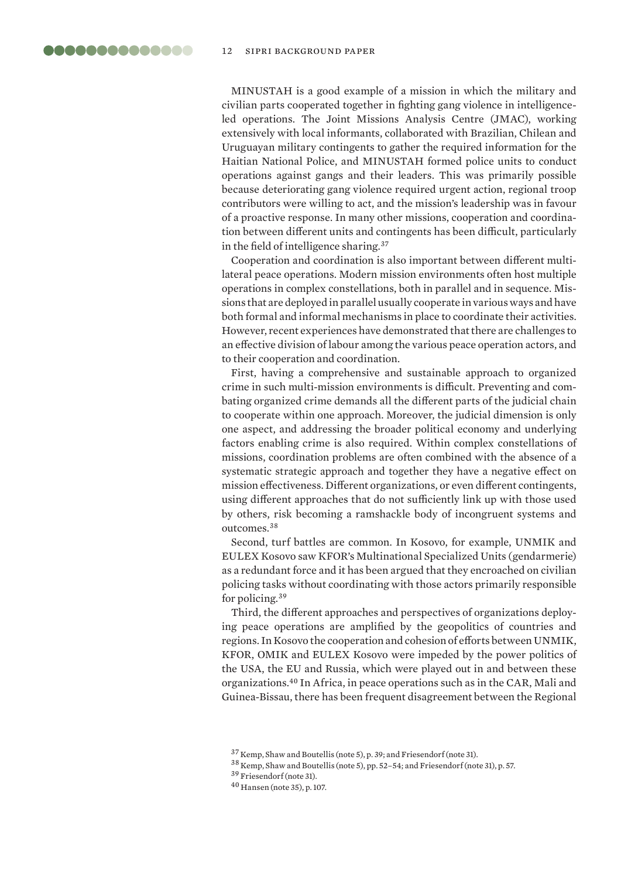MINUSTAH is a good example of a mission in which the military and civilian parts cooperated together in fighting gang violence in intelligenceled operations. The Joint Missions Analysis Centre (JMAC), working extensively with local informants, collaborated with Brazilian, Chilean and Uruguayan military contingents to gather the required information for the Haitian National Police, and MINUSTAH formed police units to conduct operations against gangs and their leaders. This was primarily possible because deteriorating gang violence required urgent action, regional troop contributors were willing to act, and the mission's leadership was in favour of a proactive response. In many other missions, cooperation and coordination between different units and contingents has been difficult, particularly in the field of intelligence sharing.<sup>37</sup>

Cooperation and coordination is also important between different multilateral peace operations. Modern mission environments often host multiple operations in complex constellations, both in parallel and in sequence. Missions that are deployed in parallel usually cooperate in various ways and have both formal and informal mechanisms in place to coordinate their activities. However, recent experiences have demonstrated that there are challenges to an effective division of labour among the various peace operation actors, and to their cooperation and coordination.

First, having a comprehensive and sustainable approach to organized crime in such multi-mission environments is difficult. Preventing and combating organized crime demands all the different parts of the judicial chain to cooperate within one approach. Moreover, the judicial dimension is only one aspect, and addressing the broader political economy and underlying factors enabling crime is also required. Within complex constellations of missions, coordination problems are often combined with the absence of a systematic strategic approach and together they have a negative effect on mission effectiveness. Different organizations, or even different contingents, using different approaches that do not sufficiently link up with those used by others, risk becoming a ramshackle body of incongruent systems and outcomes.<sup>38</sup>

Second, turf battles are common. In Kosovo, for example, UNMIK and EULEX Kosovo saw KFOR's Multinational Specialized Units (gendarmerie) as a redundant force and it has been argued that they encroached on civilian policing tasks without coordinating with those actors primarily responsible for policing.<sup>39</sup>

Third, the different approaches and perspectives of organizations deploying peace operations are amplified by the geopolitics of countries and regions. In Kosovo the cooperation and cohesion of efforts between UNMIK, KFOR, OMIK and EULEX Kosovo were impeded by the power politics of the USA, the EU and Russia, which were played out in and between these organizations.<sup>40</sup> In Africa, in peace operations such as in the CAR, Mali and Guinea-Bissau, there has been frequent disagreement between the Regional

<sup>37</sup> Kemp, Shaw and Boutellis (note 5), p. 39; and Friesendorf (note 31).

<sup>38</sup> Kemp, Shaw and Boutellis (note 5), pp. 52–54; and Friesendorf (note 31), p. 57.

<sup>39</sup> Friesendorf (note 31).

<sup>40</sup> Hansen (note 35), p. 107.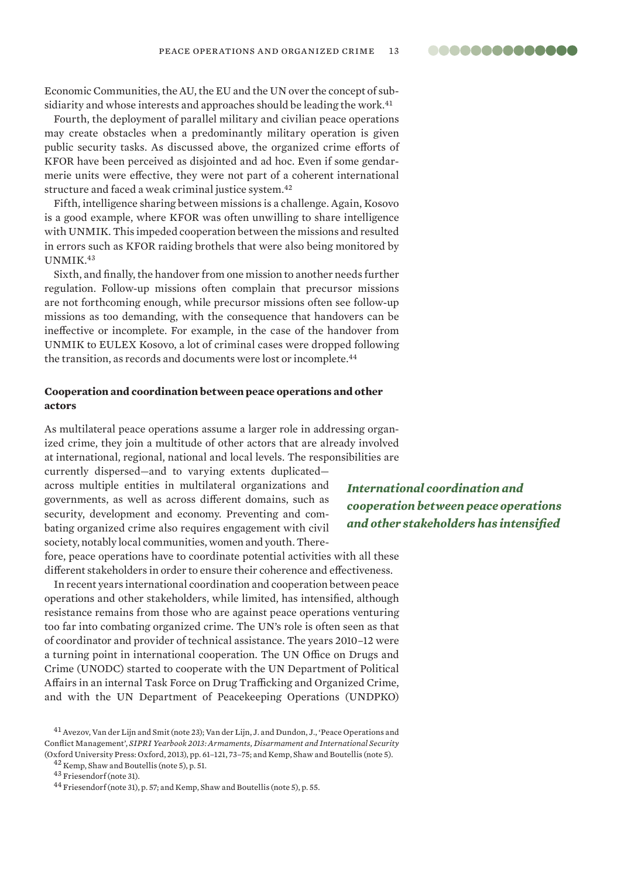<span id="page-12-0"></span>Economic Communities, the AU, the EU and the UN over the concept of subsidiarity and whose interests and approaches should be leading the work.<sup>41</sup>

Fourth, the deployment of parallel military and civilian peace operations may create obstacles when a predominantly military operation is given public security tasks. As discussed above, the organized crime efforts of KFOR have been perceived as disjointed and ad hoc. Even if some gendarmerie units were effective, they were not part of a coherent international structure and faced a weak criminal justice system.<sup>42</sup>

Fifth, intelligence sharing between missions is a challenge. Again, Kosovo is a good example, where KFOR was often unwilling to share intelligence with UNMIK. This impeded cooperation between the missions and resulted in errors such as KFOR raiding brothels that were also being monitored by UNMIK.<sup>43</sup>

Sixth, and finally, the handover from one mission to another needs further regulation. Follow-up missions often complain that precursor missions are not forthcoming enough, while precursor missions often see follow-up missions as too demanding, with the consequence that handovers can be ineffective or incomplete. For example, in the case of the handover from UNMIK to EULEX Kosovo, a lot of criminal cases were dropped following the transition, as records and documents were lost or incomplete.<sup>44</sup>

#### **Cooperation and coordination between peace operations and other actors**

As multilateral peace operations assume a larger role in addressing organized crime, they join a multitude of other actors that are already involved at international, regional, national and local levels. The responsibilities are

currently dispersed—and to varying extents duplicated across multiple entities in multilateral organizations and governments, as well as across different domains, such as security, development and economy. Preventing and combating organized crime also requires engagement with civil society, notably local communities, women and youth. There-

fore, peace operations have to coordinate potential activities with all these different stakeholders in order to ensure their coherence and effectiveness.

In recent years international coordination and cooperation between peace operations and other stakeholders, while limited, has intensified, although resistance remains from those who are against peace operations venturing too far into combating organized crime. The UN's role is often seen as that of coordinator and provider of technical assistance. The years 2010–12 were a turning point in international cooperation. The UN Office on Drugs and Crime (UNODC) started to cooperate with the UN Department of Political Affairs in an internal Task Force on Drug Trafficking and Organized Crime, and with the UN Department of Peacekeeping Operations (UNDPKO)

<sup>43</sup> Friesendorf (note 31).

*International coordination and cooperation between peace operations and other stakeholders has intensified*

<sup>&</sup>lt;sup>41</sup> Avezov, Van der Lijn and Smit (note 23); Van der Lijn, J. and Dundon, J., 'Peace Operations and Conflict Management', *SIPRI Yearbook 2013: Armaments, Disarmament and International Security* (Oxford University Press: Oxford, 2013), pp. 61–121, 73–75; and Kemp, Shaw and Boutellis (note 5).

<sup>42</sup> Kemp, Shaw and Boutellis (note 5), p. 51.

<sup>44</sup> Friesendorf (note 31), p. 57; and Kemp, Shaw and Boutellis (note 5), p. 55.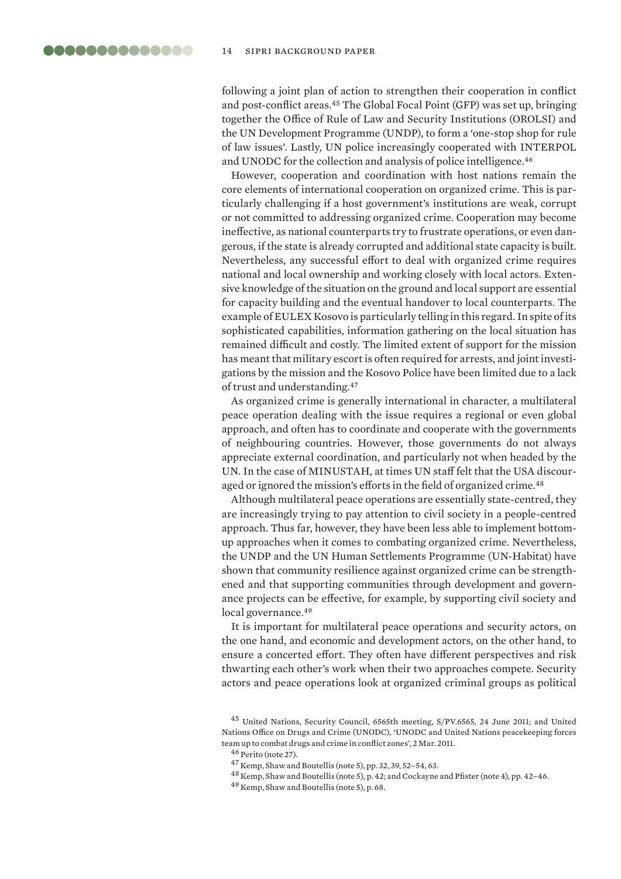<span id="page-13-0"></span>following a joint plan of action to strengthen their cooperation in conflict and post-conflict areas.<sup>45</sup> The Global Focal Point (GFP) was set up, bringing together the Office of Rule of Law and Security Institutions (OROLSI) and the UN Development Programme (UNDP), to form a 'one-stop shop for rule of law issues'. Lastly, UN police increasingly cooperated with INTERPOL and UNODC for the collection and analysis of police intelligence.<sup>46</sup>

However, cooperation and coordination with host nations remain the core elements of international cooperation on organized crime. This is particularly challenging if a host government's institutions are weak, corrupt or not committed to addressing organized crime. Cooperation may become ineffective, as national counterparts try to frustrate operations, or even dangerous, if the state is already corrupted and additional state capacity is built. Nevertheless, any successful effort to deal with organized crime requires national and local ownership and working closely with local actors. Extensive knowledge of the situation on the ground and local support are essential for capacity building and the eventual handover to local counterparts. The example of EULEX Kosovo is particularly telling in this regard. In spite of its sophisticated capabilities, information gathering on the local situation has remained difficult and costly. The limited extent of support for the mission has meant that military escort is often required for arrests, and joint investigations by the mission and the Kosovo Police have been limited due to a lack of trust and understanding.<sup>47</sup>

As organized crime is generally international in character, a multilateral peace operation dealing with the issue requires a regional or even global approach, and often has to coordinate and cooperate with the governments of neighbouring countries. However, those governments do not always appreciate external coordination, and particularly not when headed by the UN. In the case of MINUSTAH, at times UN staff felt that the USA discouraged or ignored the mission's efforts in the field of organized crime.<sup>48</sup>

Although multilateral peace operations are essentially state-centred, they are increasingly trying to pay attention to civil society in a people-centred approach. Thus far, however, they have been less able to implement bottomup approaches when it comes to combating organized crime. Nevertheless, the UNDP and the UN Human Settlements Programme (UN-Habitat) have shown that community resilience against organized crime can be strengthened and that supporting communities through development and governance projects can be effective, for example, by supporting civil society and local governance.<sup>49</sup>

It is important for multilateral peace operations and security actors, on the one hand, and economic and development actors, on the other hand, to ensure a concerted effort. They often have different perspectives and risk thwarting each other's work when their two approaches compete. Security actors and peace operations look at organized criminal groups as political

<sup>49</sup> Kemp, Shaw and Boutellis (note 5), p. 68.

<sup>45</sup> United Nations, Security Council, 6565th meeting, S/PV.6565, 24 June 2011; and United Nations Office on Drugs and Crime (UNODC), ['UNODC and United Nations peacekeeping forces](https://www.unodc.org/unodc/en/frontpage/2011/March/unodc-and-dpko-team-up-to-combat-drugs-and-crime-in-conflict-zones.html)  [team up to combat drugs and crime in conflict zones](https://www.unodc.org/unodc/en/frontpage/2011/March/unodc-and-dpko-team-up-to-combat-drugs-and-crime-in-conflict-zones.html)', 2 Mar. 2011.

<sup>46</sup> Perito (note 27).

<sup>47</sup> Kemp, Shaw and Boutellis (note 5), pp. 32, 39, 52–54, 63.

<sup>48</sup> Kemp, Shaw and Boutellis (note 5), p. 42; and Cockayne and Pfister (note 4), pp. 42–46.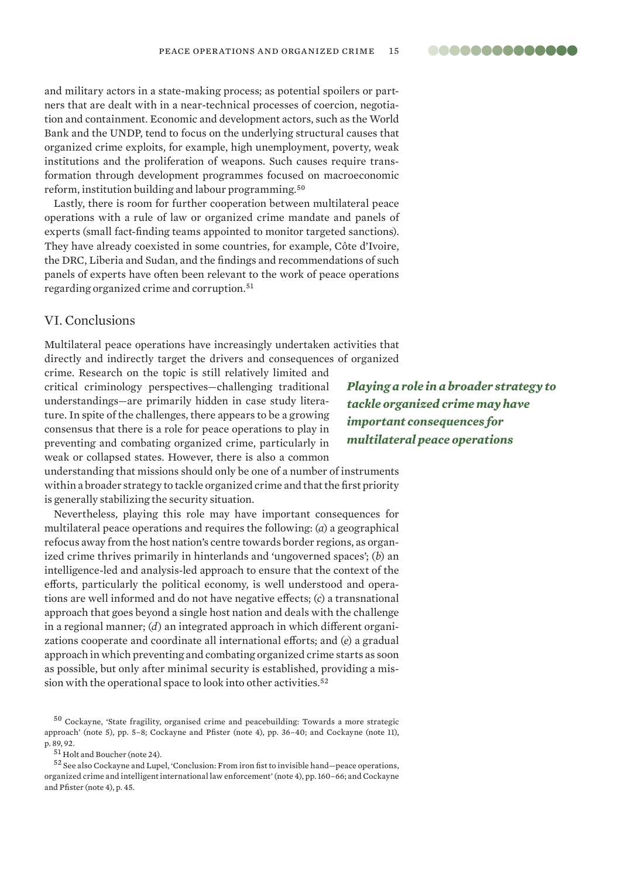and military actors in a state-making process; as potential spoilers or partners that are dealt with in a near-technical processes of coercion, negotiation and containment. Economic and development actors, such as the World Bank and the UNDP, tend to focus on the underlying structural causes that organized crime exploits, for example, high unemployment, poverty, weak institutions and the proliferation of weapons. Such causes require transformation through development programmes focused on macroeconomic reform, institution building and labour programming.<sup>50</sup>

Lastly, there is room for further cooperation between multilateral peace operations with a rule of law or organized crime mandate and panels of experts (small fact-finding teams appointed to monitor targeted sanctions). They have already coexisted in some countries, for example, Côte d'Ivoire, the DRC, Liberia and Sudan, and the findings and recommendations of such panels of experts have often been relevant to the work of peace operations regarding organized crime and corruption.<sup>51</sup>

### VI. Conclusions

Multilateral peace operations have increasingly undertaken activities that directly and indirectly target the drivers and consequences of organized

crime. Research on the topic is still relatively limited and critical criminology perspectives—challenging traditional understandings—are primarily hidden in case study literature. In spite of the challenges, there appears to be a growing consensus that there is a role for peace operations to play in preventing and combating organized crime, particularly in weak or collapsed states. However, there is also a common

*Playing a role in a broader strategy to tackle organized crime may have important consequences for multilateral peace operations*

understanding that missions should only be one of a number of instruments within a broader strategy to tackle organized crime and that the first priority is generally stabilizing the security situation.

Nevertheless, playing this role may have important consequences for multilateral peace operations and requires the following: (*a*) a geographical refocus away from the host nation's centre towards border regions, as organized crime thrives primarily in hinterlands and 'ungoverned spaces'; (*b*) an intelligence-led and analysis-led approach to ensure that the context of the efforts, particularly the political economy, is well understood and operations are well informed and do not have negative effects; (*c*) a transnational approach that goes beyond a single host nation and deals with the challenge in a regional manner; (*d*) an integrated approach in which different organizations cooperate and coordinate all international efforts; and (*e*) a gradual approach in which preventing and combating organized crime starts as soon as possible, but only after minimal security is established, providing a mission with the operational space to look into other activities.<sup>52</sup>

<sup>50</sup> Cockayne, 'State fragility, organised crime and peacebuilding: Towards a more strategic approach' (note 5), pp. 5–8; Cockayne and Pfister (note 4), pp. 36–40; and Cockayne (note 11), p. 89, 92.

 $^{52}$  See also Cockayne and Lupel, 'Conclusion: From iron fist to invisible hand—peace operations, organized crime and intelligent international law enforcement' (note 4), pp. 160–66; and Cockayne and Pfister (note 4), p. 45.

..............

<sup>51</sup> Holt and Boucher (note 24).